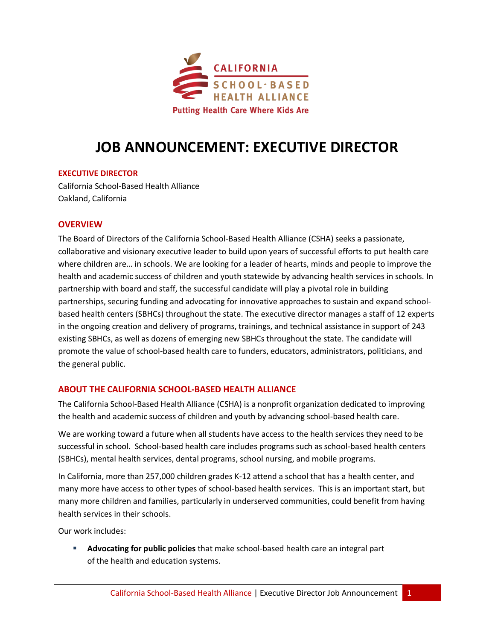

# **JOB ANNOUNCEMENT: EXECUTIVE DIRECTOR**

#### **EXECUTIVE DIRECTOR**

California School-Based Health Alliance Oakland, California

## **OVERVIEW**

The Board of Directors of the California School-Based Health Alliance (CSHA) seeks a passionate, collaborative and visionary executive leader to build upon years of successful efforts to put health care where children are… in schools. We are looking for a leader of hearts, minds and people to improve the health and academic success of children and youth statewide by advancing health services in schools. In partnership with board and staff, the successful candidate will play a pivotal role in building partnerships, securing funding and advocating for innovative approaches to sustain and expand schoolbased health centers (SBHCs) throughout the state. The executive director manages a staff of 12 experts in the ongoing creation and delivery of programs, trainings, and technical assistance in support of 243 existing SBHCs, as well as dozens of emerging new SBHCs throughout the state. The candidate will promote the value of school-based health care to funders, educators, administrators, politicians, and the general public.

## **ABOUT THE CALIFORNIA SCHOOL-BASED HEALTH ALLIANCE**

The California School-Based Health Alliance (CSHA) is a nonprofit organization dedicated to improving the health and academic success of children and youth by advancing school-based health care.

We are working toward a future when all students have access to the health services they need to be successful in school. School-based health care includes programs such as school-based health centers (SBHCs), mental health services, dental programs, school nursing, and mobile programs.

In California, more than 257,000 children grades K-12 attend a school that has a health center, and many more have access to other types of school-based health services. This is an important start, but many more children and families, particularly in underserved communities, could benefit from having health services in their schools.

Our work includes:

 **Advocating for public policies** that make school-based health care an integral part of the health and education systems.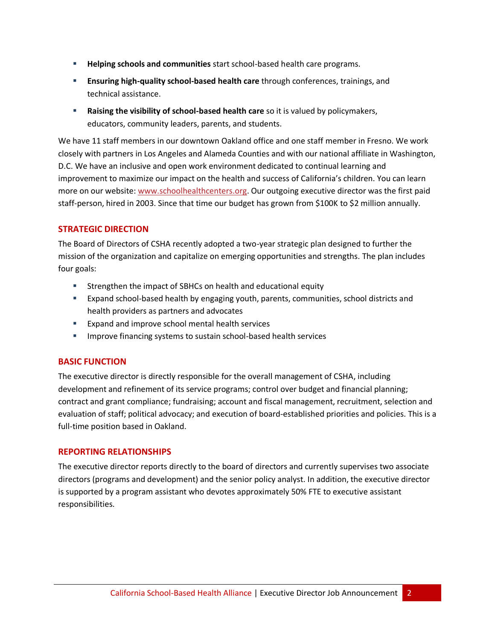- **Helping schools and communities** start school-based health care programs.
- **Ensuring high-quality school-based health care** through conferences, trainings, and technical assistance.
- **Raising the visibility of school-based health care** so it is valued by policymakers, educators, community leaders, parents, and students.

We have 11 staff members in our downtown Oakland office and one staff member in Fresno. We work closely with partners in Los Angeles and Alameda Counties and with our national affiliate in Washington, D.C. We have an inclusive and open work environment dedicated to continual learning and improvement to maximize our impact on the health and success of California's children. You can learn more on our website: [www.schoolhealthcenters.org.](http://www.schoolhealthcenters.org/) Our outgoing executive director was the first paid staff-person, hired in 2003. Since that time our budget has grown from \$100K to \$2 million annually.

## **STRATEGIC DIRECTION**

The Board of Directors of CSHA recently adopted a two-year strategic plan designed to further the mission of the organization and capitalize on emerging opportunities and strengths. The plan includes four goals:

- Strengthen the impact of SBHCs on health and educational equity
- Expand school-based health by engaging youth, parents, communities, school districts and health providers as partners and advocates
- **Expand and improve school mental health services**
- **IMPROVE FINANCIOUS** Systems to sustain school-based health services

#### **BASIC FUNCTION**

The executive director is directly responsible for the overall management of CSHA, including development and refinement of its service programs; control over budget and financial planning; contract and grant compliance; fundraising; account and fiscal management, recruitment, selection and evaluation of staff; political advocacy; and execution of board-established priorities and policies. This is a full-time position based in Oakland.

#### **REPORTING RELATIONSHIPS**

The executive director reports directly to the board of directors and currently supervises two associate directors (programs and development) and the senior policy analyst. In addition, the executive director is supported by a program assistant who devotes approximately 50% FTE to executive assistant responsibilities.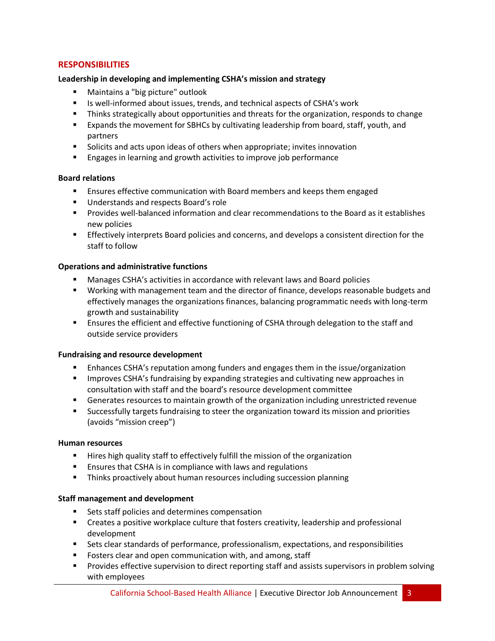## **RESPONSIBILITIES**

#### **Leadership in developing and implementing CSHA's mission and strategy**

- Maintains a "big picture" outlook
- Is well-informed about issues, trends, and technical aspects of CSHA's work
- **Thinks strategically about opportunities and threats for the organization, responds to change**
- **EXPALCH EXALCH EXPANDED EXALCH FOR THE EXALCH FOR STARK** FOR STARK And EXPANDED FORM STARK And EXPANDED FORM TH partners
- Solicits and acts upon ideas of others when appropriate; invites innovation
- **Engages in learning and growth activities to improve job performance**

### **Board relations**

- **E** Ensures effective communication with Board members and keeps them engaged
- Understands and respects Board's role
- Provides well-balanced information and clear recommendations to the Board as it establishes new policies
- **Effectively interprets Board policies and concerns, and develops a consistent direction for the** staff to follow

#### **Operations and administrative functions**

- Manages CSHA's activities in accordance with relevant laws and Board policies
- Working with management team and the director of finance, develops reasonable budgets and effectively manages the organizations finances, balancing programmatic needs with long-term growth and sustainability
- **EXECT ENSURGHS ENGILY ENGILY ADDET** Ensures the efficient and effective functioning of CSHA through delegation to the staff and outside service providers

#### **Fundraising and resource development**

- Enhances CSHA's reputation among funders and engages them in the issue/organization
- **IMPROVER THE STAM's fundraising by expanding strategies and cultivating new approaches in** consultation with staff and the board's resource development committee
- Generates resources to maintain growth of the organization including unrestricted revenue
- Successfully targets fundraising to steer the organization toward its mission and priorities (avoids "mission creep")

#### **Human resources**

- **Hires high quality staff to effectively fulfill the mission of the organization**
- **Ensures that CSHA is in compliance with laws and regulations**
- **Thinks proactively about human resources including succession planning**

#### **Staff management and development**

- **Sets staff policies and determines compensation**
- Creates a positive workplace culture that fosters creativity, leadership and professional development
- Sets clear standards of performance, professionalism, expectations, and responsibilities
- **Fosters clear and open communication with, and among, staff**
- **Provides effective supervision to direct reporting staff and assists supervisors in problem solving** with employees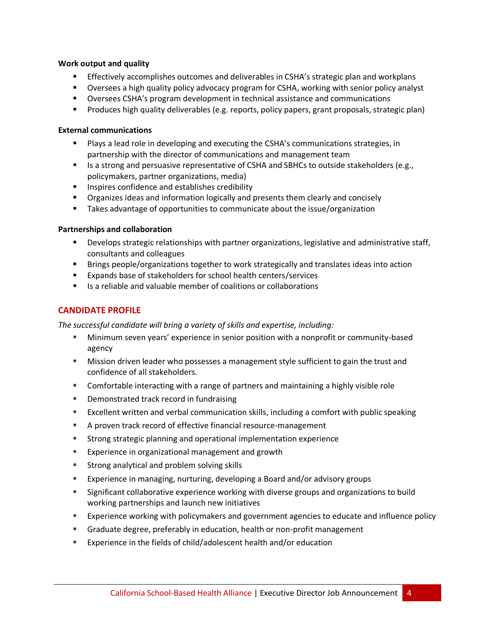#### **Work output and quality**

- **Effectively accomplishes outcomes and deliverables in CSHA's strategic plan and workplans**
- Oversees a high quality policy advocacy program for CSHA, working with senior policy analyst
- Oversees CSHA's program development in technical assistance and communications
- Produces high quality deliverables (e.g. reports, policy papers, grant proposals, strategic plan)

#### **External communications**

- Plays a lead role in developing and executing the CSHA's communications strategies, in partnership with the director of communications and management team
- **IS a strong and persuasive representative of CSHA and SBHCs to outside stakeholders (e.g.,** policymakers, partner organizations, media)
- **IF Inspires confidence and establishes credibility**
- Organizes ideas and information logically and presents them clearly and concisely
- **Takes advantage of opportunities to communicate about the issue/organization**

### **Partnerships and collaboration**

- Develops strategic relationships with partner organizations, legislative and administrative staff, consultants and colleagues
- Brings people/organizations together to work strategically and translates ideas into action
- Expands base of stakeholders for school health centers/services
- $\blacksquare$  Is a reliable and valuable member of coalitions or collaborations

## **CANDIDATE PROFILE**

*The successful candidate will bring a variety of skills and expertise, including:* 

- Minimum seven years' experience in senior position with a nonprofit or community-based agency
- Mission driven leader who possesses a management style sufficient to gain the trust and confidence of all stakeholders.
- Comfortable interacting with a range of partners and maintaining a highly visible role
- **•** Demonstrated track record in fundraising
- Excellent written and verbal communication skills, including a comfort with public speaking
- A proven track record of effective financial resource-management
- Strong strategic planning and operational implementation experience
- **Experience in organizational management and growth**
- **Strong analytical and problem solving skills**
- Experience in managing, nurturing, developing a Board and/or advisory groups
- Significant collaborative experience working with diverse groups and organizations to build working partnerships and launch new initiatives
- Experience working with policymakers and government agencies to educate and influence policy
- Graduate degree, preferably in education, health or non-profit management
- Experience in the fields of child/adolescent health and/or education